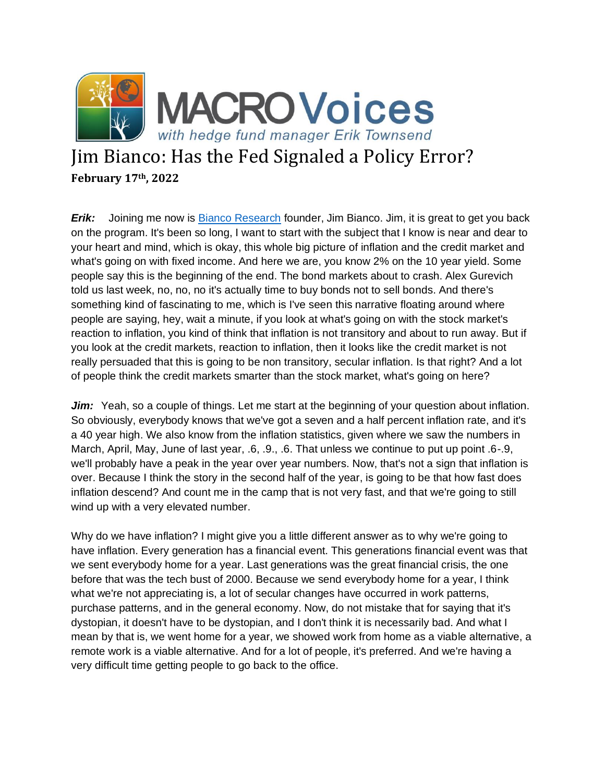

## Jim Bianco: Has the Fed Signaled a Policy Error? **February 17th, 2022**

*Erik:* Joining me now is [Bianco Research](https://www.biancoresearch.com/visitor-home/) founder, Jim Bianco. Jim, it is great to get you back on the program. It's been so long, I want to start with the subject that I know is near and dear to your heart and mind, which is okay, this whole big picture of inflation and the credit market and what's going on with fixed income. And here we are, you know 2% on the 10 year yield. Some people say this is the beginning of the end. The bond markets about to crash. Alex Gurevich told us last week, no, no, no it's actually time to buy bonds not to sell bonds. And there's something kind of fascinating to me, which is I've seen this narrative floating around where people are saying, hey, wait a minute, if you look at what's going on with the stock market's reaction to inflation, you kind of think that inflation is not transitory and about to run away. But if you look at the credit markets, reaction to inflation, then it looks like the credit market is not really persuaded that this is going to be non transitory, secular inflation. Is that right? And a lot of people think the credit markets smarter than the stock market, what's going on here?

*Jim:* Yeah, so a couple of things. Let me start at the beginning of your question about inflation. So obviously, everybody knows that we've got a seven and a half percent inflation rate, and it's a 40 year high. We also know from the inflation statistics, given where we saw the numbers in March, April, May, June of last year, .6, .9., .6. That unless we continue to put up point .6-.9, we'll probably have a peak in the year over year numbers. Now, that's not a sign that inflation is over. Because I think the story in the second half of the year, is going to be that how fast does inflation descend? And count me in the camp that is not very fast, and that we're going to still wind up with a very elevated number.

Why do we have inflation? I might give you a little different answer as to why we're going to have inflation. Every generation has a financial event. This generations financial event was that we sent everybody home for a year. Last generations was the great financial crisis, the one before that was the tech bust of 2000. Because we send everybody home for a year, I think what we're not appreciating is, a lot of secular changes have occurred in work patterns, purchase patterns, and in the general economy. Now, do not mistake that for saying that it's dystopian, it doesn't have to be dystopian, and I don't think it is necessarily bad. And what I mean by that is, we went home for a year, we showed work from home as a viable alternative, a remote work is a viable alternative. And for a lot of people, it's preferred. And we're having a very difficult time getting people to go back to the office.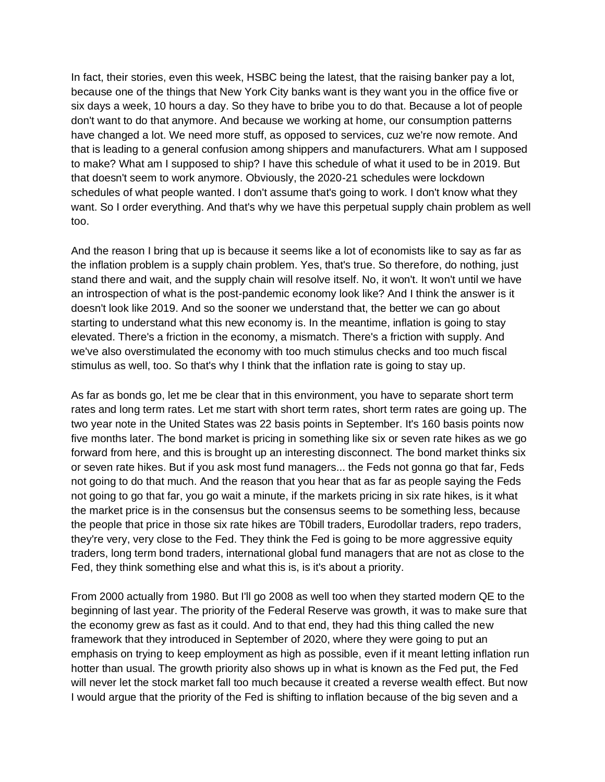In fact, their stories, even this week, HSBC being the latest, that the raising banker pay a lot, because one of the things that New York City banks want is they want you in the office five or six days a week, 10 hours a day. So they have to bribe you to do that. Because a lot of people don't want to do that anymore. And because we working at home, our consumption patterns have changed a lot. We need more stuff, as opposed to services, cuz we're now remote. And that is leading to a general confusion among shippers and manufacturers. What am I supposed to make? What am I supposed to ship? I have this schedule of what it used to be in 2019. But that doesn't seem to work anymore. Obviously, the 2020-21 schedules were lockdown schedules of what people wanted. I don't assume that's going to work. I don't know what they want. So I order everything. And that's why we have this perpetual supply chain problem as well too.

And the reason I bring that up is because it seems like a lot of economists like to say as far as the inflation problem is a supply chain problem. Yes, that's true. So therefore, do nothing, just stand there and wait, and the supply chain will resolve itself. No, it won't. It won't until we have an introspection of what is the post-pandemic economy look like? And I think the answer is it doesn't look like 2019. And so the sooner we understand that, the better we can go about starting to understand what this new economy is. In the meantime, inflation is going to stay elevated. There's a friction in the economy, a mismatch. There's a friction with supply. And we've also overstimulated the economy with too much stimulus checks and too much fiscal stimulus as well, too. So that's why I think that the inflation rate is going to stay up.

As far as bonds go, let me be clear that in this environment, you have to separate short term rates and long term rates. Let me start with short term rates, short term rates are going up. The two year note in the United States was 22 basis points in September. It's 160 basis points now five months later. The bond market is pricing in something like six or seven rate hikes as we go forward from here, and this is brought up an interesting disconnect. The bond market thinks six or seven rate hikes. But if you ask most fund managers... the Feds not gonna go that far, Feds not going to do that much. And the reason that you hear that as far as people saying the Feds not going to go that far, you go wait a minute, if the markets pricing in six rate hikes, is it what the market price is in the consensus but the consensus seems to be something less, because the people that price in those six rate hikes are T0bill traders, Eurodollar traders, repo traders, they're very, very close to the Fed. They think the Fed is going to be more aggressive equity traders, long term bond traders, international global fund managers that are not as close to the Fed, they think something else and what this is, is it's about a priority.

From 2000 actually from 1980. But I'll go 2008 as well too when they started modern QE to the beginning of last year. The priority of the Federal Reserve was growth, it was to make sure that the economy grew as fast as it could. And to that end, they had this thing called the new framework that they introduced in September of 2020, where they were going to put an emphasis on trying to keep employment as high as possible, even if it meant letting inflation run hotter than usual. The growth priority also shows up in what is known as the Fed put, the Fed will never let the stock market fall too much because it created a reverse wealth effect. But now I would argue that the priority of the Fed is shifting to inflation because of the big seven and a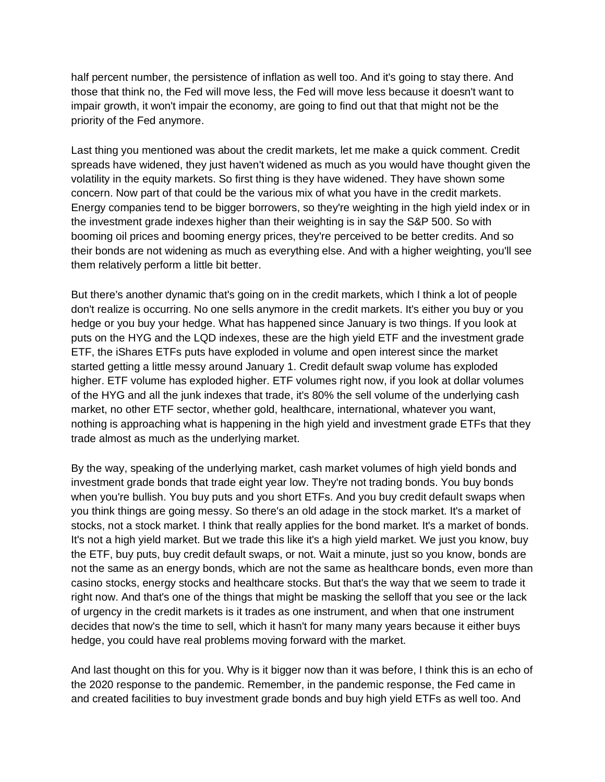half percent number, the persistence of inflation as well too. And it's going to stay there. And those that think no, the Fed will move less, the Fed will move less because it doesn't want to impair growth, it won't impair the economy, are going to find out that that might not be the priority of the Fed anymore.

Last thing you mentioned was about the credit markets, let me make a quick comment. Credit spreads have widened, they just haven't widened as much as you would have thought given the volatility in the equity markets. So first thing is they have widened. They have shown some concern. Now part of that could be the various mix of what you have in the credit markets. Energy companies tend to be bigger borrowers, so they're weighting in the high yield index or in the investment grade indexes higher than their weighting is in say the S&P 500. So with booming oil prices and booming energy prices, they're perceived to be better credits. And so their bonds are not widening as much as everything else. And with a higher weighting, you'll see them relatively perform a little bit better.

But there's another dynamic that's going on in the credit markets, which I think a lot of people don't realize is occurring. No one sells anymore in the credit markets. It's either you buy or you hedge or you buy your hedge. What has happened since January is two things. If you look at puts on the HYG and the LQD indexes, these are the high yield ETF and the investment grade ETF, the iShares ETFs puts have exploded in volume and open interest since the market started getting a little messy around January 1. Credit default swap volume has exploded higher. ETF volume has exploded higher. ETF volumes right now, if you look at dollar volumes of the HYG and all the junk indexes that trade, it's 80% the sell volume of the underlying cash market, no other ETF sector, whether gold, healthcare, international, whatever you want, nothing is approaching what is happening in the high yield and investment grade ETFs that they trade almost as much as the underlying market.

By the way, speaking of the underlying market, cash market volumes of high yield bonds and investment grade bonds that trade eight year low. They're not trading bonds. You buy bonds when you're bullish. You buy puts and you short ETFs. And you buy credit default swaps when you think things are going messy. So there's an old adage in the stock market. It's a market of stocks, not a stock market. I think that really applies for the bond market. It's a market of bonds. It's not a high yield market. But we trade this like it's a high yield market. We just you know, buy the ETF, buy puts, buy credit default swaps, or not. Wait a minute, just so you know, bonds are not the same as an energy bonds, which are not the same as healthcare bonds, even more than casino stocks, energy stocks and healthcare stocks. But that's the way that we seem to trade it right now. And that's one of the things that might be masking the selloff that you see or the lack of urgency in the credit markets is it trades as one instrument, and when that one instrument decides that now's the time to sell, which it hasn't for many many years because it either buys hedge, you could have real problems moving forward with the market.

And last thought on this for you. Why is it bigger now than it was before, I think this is an echo of the 2020 response to the pandemic. Remember, in the pandemic response, the Fed came in and created facilities to buy investment grade bonds and buy high yield ETFs as well too. And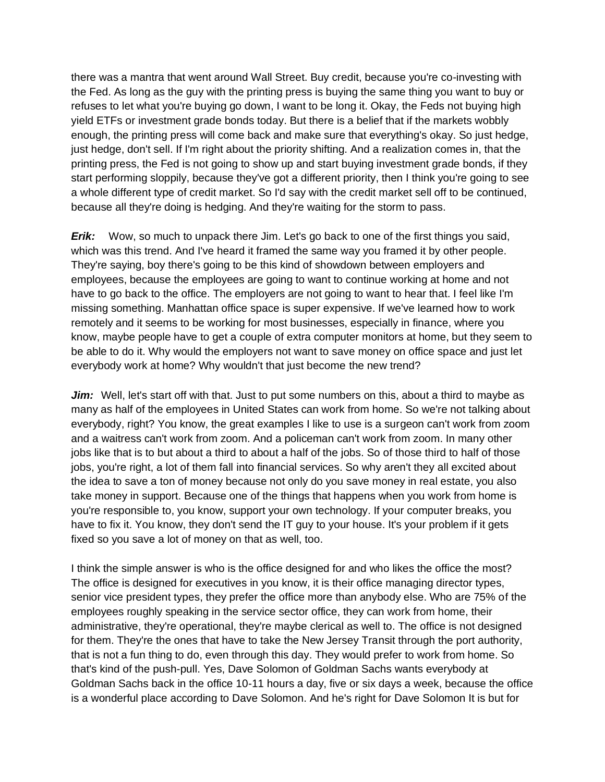there was a mantra that went around Wall Street. Buy credit, because you're co-investing with the Fed. As long as the guy with the printing press is buying the same thing you want to buy or refuses to let what you're buying go down, I want to be long it. Okay, the Feds not buying high yield ETFs or investment grade bonds today. But there is a belief that if the markets wobbly enough, the printing press will come back and make sure that everything's okay. So just hedge, just hedge, don't sell. If I'm right about the priority shifting. And a realization comes in, that the printing press, the Fed is not going to show up and start buying investment grade bonds, if they start performing sloppily, because they've got a different priority, then I think you're going to see a whole different type of credit market. So I'd say with the credit market sell off to be continued, because all they're doing is hedging. And they're waiting for the storm to pass.

*Erik:* Wow, so much to unpack there Jim. Let's go back to one of the first things you said, which was this trend. And I've heard it framed the same way you framed it by other people. They're saying, boy there's going to be this kind of showdown between employers and employees, because the employees are going to want to continue working at home and not have to go back to the office. The employers are not going to want to hear that. I feel like I'm missing something. Manhattan office space is super expensive. If we've learned how to work remotely and it seems to be working for most businesses, especially in finance, where you know, maybe people have to get a couple of extra computer monitors at home, but they seem to be able to do it. Why would the employers not want to save money on office space and just let everybody work at home? Why wouldn't that just become the new trend?

*Jim:* Well, let's start off with that. Just to put some numbers on this, about a third to maybe as many as half of the employees in United States can work from home. So we're not talking about everybody, right? You know, the great examples I like to use is a surgeon can't work from zoom and a waitress can't work from zoom. And a policeman can't work from zoom. In many other jobs like that is to but about a third to about a half of the jobs. So of those third to half of those jobs, you're right, a lot of them fall into financial services. So why aren't they all excited about the idea to save a ton of money because not only do you save money in real estate, you also take money in support. Because one of the things that happens when you work from home is you're responsible to, you know, support your own technology. If your computer breaks, you have to fix it. You know, they don't send the IT guy to your house. It's your problem if it gets fixed so you save a lot of money on that as well, too.

I think the simple answer is who is the office designed for and who likes the office the most? The office is designed for executives in you know, it is their office managing director types, senior vice president types, they prefer the office more than anybody else. Who are 75% of the employees roughly speaking in the service sector office, they can work from home, their administrative, they're operational, they're maybe clerical as well to. The office is not designed for them. They're the ones that have to take the New Jersey Transit through the port authority, that is not a fun thing to do, even through this day. They would prefer to work from home. So that's kind of the push-pull. Yes, Dave Solomon of Goldman Sachs wants everybody at Goldman Sachs back in the office 10-11 hours a day, five or six days a week, because the office is a wonderful place according to Dave Solomon. And he's right for Dave Solomon It is but for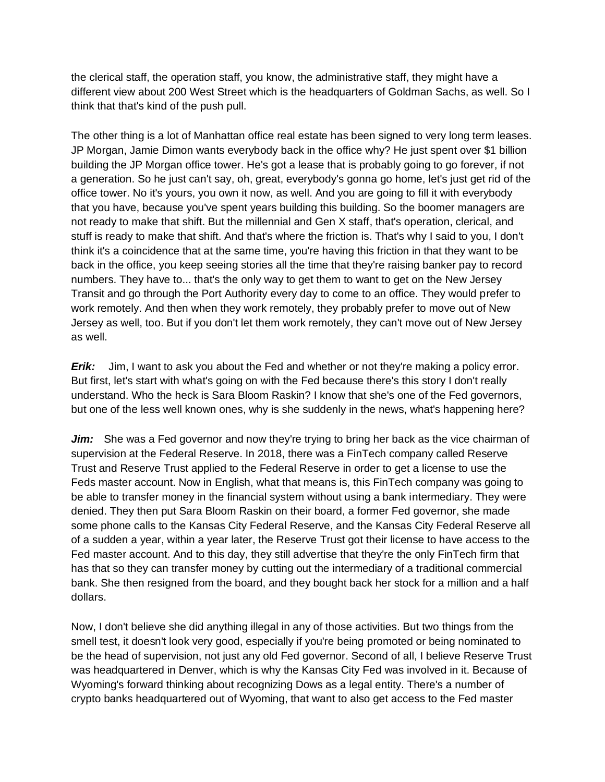the clerical staff, the operation staff, you know, the administrative staff, they might have a different view about 200 West Street which is the headquarters of Goldman Sachs, as well. So I think that that's kind of the push pull.

The other thing is a lot of Manhattan office real estate has been signed to very long term leases. JP Morgan, Jamie Dimon wants everybody back in the office why? He just spent over \$1 billion building the JP Morgan office tower. He's got a lease that is probably going to go forever, if not a generation. So he just can't say, oh, great, everybody's gonna go home, let's just get rid of the office tower. No it's yours, you own it now, as well. And you are going to fill it with everybody that you have, because you've spent years building this building. So the boomer managers are not ready to make that shift. But the millennial and Gen X staff, that's operation, clerical, and stuff is ready to make that shift. And that's where the friction is. That's why I said to you, I don't think it's a coincidence that at the same time, you're having this friction in that they want to be back in the office, you keep seeing stories all the time that they're raising banker pay to record numbers. They have to... that's the only way to get them to want to get on the New Jersey Transit and go through the Port Authority every day to come to an office. They would prefer to work remotely. And then when they work remotely, they probably prefer to move out of New Jersey as well, too. But if you don't let them work remotely, they can't move out of New Jersey as well.

*Erik:* Jim, I want to ask you about the Fed and whether or not they're making a policy error. But first, let's start with what's going on with the Fed because there's this story I don't really understand. Who the heck is Sara Bloom Raskin? I know that she's one of the Fed governors, but one of the less well known ones, why is she suddenly in the news, what's happening here?

Jim: She was a Fed governor and now they're trying to bring her back as the vice chairman of supervision at the Federal Reserve. In 2018, there was a FinTech company called Reserve Trust and Reserve Trust applied to the Federal Reserve in order to get a license to use the Feds master account. Now in English, what that means is, this FinTech company was going to be able to transfer money in the financial system without using a bank intermediary. They were denied. They then put Sara Bloom Raskin on their board, a former Fed governor, she made some phone calls to the Kansas City Federal Reserve, and the Kansas City Federal Reserve all of a sudden a year, within a year later, the Reserve Trust got their license to have access to the Fed master account. And to this day, they still advertise that they're the only FinTech firm that has that so they can transfer money by cutting out the intermediary of a traditional commercial bank. She then resigned from the board, and they bought back her stock for a million and a half dollars.

Now, I don't believe she did anything illegal in any of those activities. But two things from the smell test, it doesn't look very good, especially if you're being promoted or being nominated to be the head of supervision, not just any old Fed governor. Second of all, I believe Reserve Trust was headquartered in Denver, which is why the Kansas City Fed was involved in it. Because of Wyoming's forward thinking about recognizing Dows as a legal entity. There's a number of crypto banks headquartered out of Wyoming, that want to also get access to the Fed master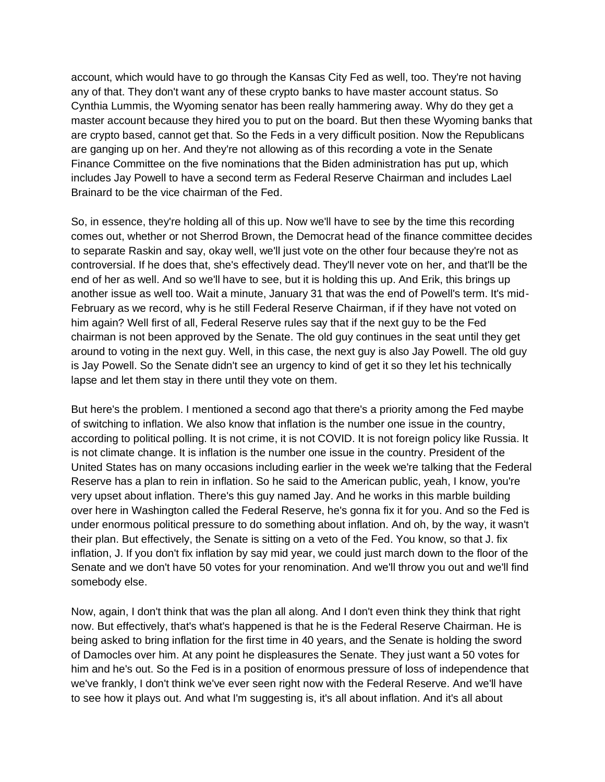account, which would have to go through the Kansas City Fed as well, too. They're not having any of that. They don't want any of these crypto banks to have master account status. So Cynthia Lummis, the Wyoming senator has been really hammering away. Why do they get a master account because they hired you to put on the board. But then these Wyoming banks that are crypto based, cannot get that. So the Feds in a very difficult position. Now the Republicans are ganging up on her. And they're not allowing as of this recording a vote in the Senate Finance Committee on the five nominations that the Biden administration has put up, which includes Jay Powell to have a second term as Federal Reserve Chairman and includes Lael Brainard to be the vice chairman of the Fed.

So, in essence, they're holding all of this up. Now we'll have to see by the time this recording comes out, whether or not Sherrod Brown, the Democrat head of the finance committee decides to separate Raskin and say, okay well, we'll just vote on the other four because they're not as controversial. If he does that, she's effectively dead. They'll never vote on her, and that'll be the end of her as well. And so we'll have to see, but it is holding this up. And Erik, this brings up another issue as well too. Wait a minute, January 31 that was the end of Powell's term. It's mid-February as we record, why is he still Federal Reserve Chairman, if if they have not voted on him again? Well first of all, Federal Reserve rules say that if the next guy to be the Fed chairman is not been approved by the Senate. The old guy continues in the seat until they get around to voting in the next guy. Well, in this case, the next guy is also Jay Powell. The old guy is Jay Powell. So the Senate didn't see an urgency to kind of get it so they let his technically lapse and let them stay in there until they vote on them.

But here's the problem. I mentioned a second ago that there's a priority among the Fed maybe of switching to inflation. We also know that inflation is the number one issue in the country, according to political polling. It is not crime, it is not COVID. It is not foreign policy like Russia. It is not climate change. It is inflation is the number one issue in the country. President of the United States has on many occasions including earlier in the week we're talking that the Federal Reserve has a plan to rein in inflation. So he said to the American public, yeah, I know, you're very upset about inflation. There's this guy named Jay. And he works in this marble building over here in Washington called the Federal Reserve, he's gonna fix it for you. And so the Fed is under enormous political pressure to do something about inflation. And oh, by the way, it wasn't their plan. But effectively, the Senate is sitting on a veto of the Fed. You know, so that J. fix inflation, J. If you don't fix inflation by say mid year, we could just march down to the floor of the Senate and we don't have 50 votes for your renomination. And we'll throw you out and we'll find somebody else.

Now, again, I don't think that was the plan all along. And I don't even think they think that right now. But effectively, that's what's happened is that he is the Federal Reserve Chairman. He is being asked to bring inflation for the first time in 40 years, and the Senate is holding the sword of Damocles over him. At any point he displeasures the Senate. They just want a 50 votes for him and he's out. So the Fed is in a position of enormous pressure of loss of independence that we've frankly, I don't think we've ever seen right now with the Federal Reserve. And we'll have to see how it plays out. And what I'm suggesting is, it's all about inflation. And it's all about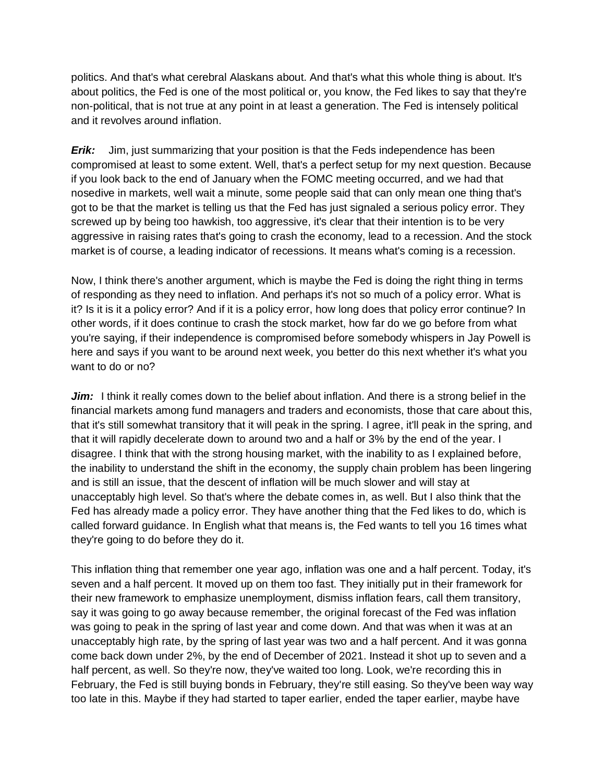politics. And that's what cerebral Alaskans about. And that's what this whole thing is about. It's about politics, the Fed is one of the most political or, you know, the Fed likes to say that they're non-political, that is not true at any point in at least a generation. The Fed is intensely political and it revolves around inflation.

*Erik:* Jim, just summarizing that your position is that the Feds independence has been compromised at least to some extent. Well, that's a perfect setup for my next question. Because if you look back to the end of January when the FOMC meeting occurred, and we had that nosedive in markets, well wait a minute, some people said that can only mean one thing that's got to be that the market is telling us that the Fed has just signaled a serious policy error. They screwed up by being too hawkish, too aggressive, it's clear that their intention is to be very aggressive in raising rates that's going to crash the economy, lead to a recession. And the stock market is of course, a leading indicator of recessions. It means what's coming is a recession.

Now, I think there's another argument, which is maybe the Fed is doing the right thing in terms of responding as they need to inflation. And perhaps it's not so much of a policy error. What is it? Is it is it a policy error? And if it is a policy error, how long does that policy error continue? In other words, if it does continue to crash the stock market, how far do we go before from what you're saying, if their independence is compromised before somebody whispers in Jay Powell is here and says if you want to be around next week, you better do this next whether it's what you want to do or no?

*Jim:* I think it really comes down to the belief about inflation. And there is a strong belief in the financial markets among fund managers and traders and economists, those that care about this, that it's still somewhat transitory that it will peak in the spring. I agree, it'll peak in the spring, and that it will rapidly decelerate down to around two and a half or 3% by the end of the year. I disagree. I think that with the strong housing market, with the inability to as I explained before, the inability to understand the shift in the economy, the supply chain problem has been lingering and is still an issue, that the descent of inflation will be much slower and will stay at unacceptably high level. So that's where the debate comes in, as well. But I also think that the Fed has already made a policy error. They have another thing that the Fed likes to do, which is called forward guidance. In English what that means is, the Fed wants to tell you 16 times what they're going to do before they do it.

This inflation thing that remember one year ago, inflation was one and a half percent. Today, it's seven and a half percent. It moved up on them too fast. They initially put in their framework for their new framework to emphasize unemployment, dismiss inflation fears, call them transitory, say it was going to go away because remember, the original forecast of the Fed was inflation was going to peak in the spring of last year and come down. And that was when it was at an unacceptably high rate, by the spring of last year was two and a half percent. And it was gonna come back down under 2%, by the end of December of 2021. Instead it shot up to seven and a half percent, as well. So they're now, they've waited too long. Look, we're recording this in February, the Fed is still buying bonds in February, they're still easing. So they've been way way too late in this. Maybe if they had started to taper earlier, ended the taper earlier, maybe have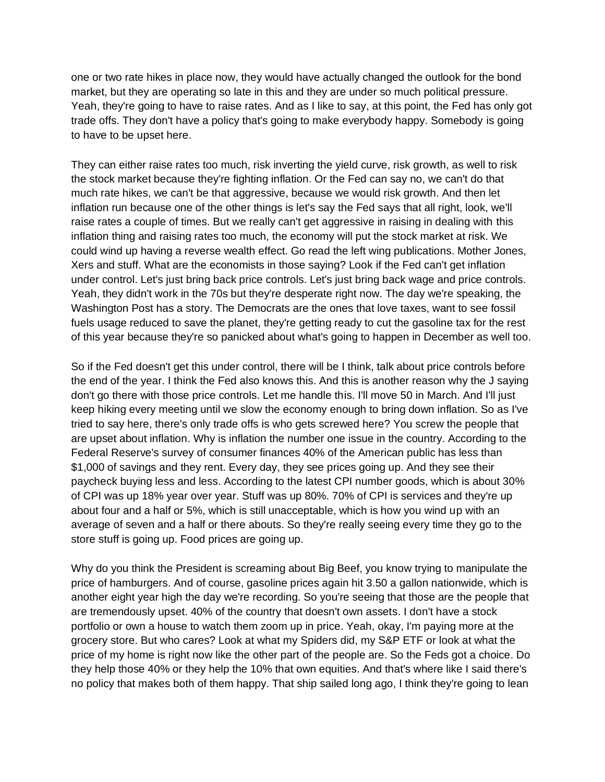one or two rate hikes in place now, they would have actually changed the outlook for the bond market, but they are operating so late in this and they are under so much political pressure. Yeah, they're going to have to raise rates. And as I like to say, at this point, the Fed has only got trade offs. They don't have a policy that's going to make everybody happy. Somebody is going to have to be upset here.

They can either raise rates too much, risk inverting the yield curve, risk growth, as well to risk the stock market because they're fighting inflation. Or the Fed can say no, we can't do that much rate hikes, we can't be that aggressive, because we would risk growth. And then let inflation run because one of the other things is let's say the Fed says that all right, look, we'll raise rates a couple of times. But we really can't get aggressive in raising in dealing with this inflation thing and raising rates too much, the economy will put the stock market at risk. We could wind up having a reverse wealth effect. Go read the left wing publications. Mother Jones, Xers and stuff. What are the economists in those saying? Look if the Fed can't get inflation under control. Let's just bring back price controls. Let's just bring back wage and price controls. Yeah, they didn't work in the 70s but they're desperate right now. The day we're speaking, the Washington Post has a story. The Democrats are the ones that love taxes, want to see fossil fuels usage reduced to save the planet, they're getting ready to cut the gasoline tax for the rest of this year because they're so panicked about what's going to happen in December as well too.

So if the Fed doesn't get this under control, there will be I think, talk about price controls before the end of the year. I think the Fed also knows this. And this is another reason why the J saying don't go there with those price controls. Let me handle this. I'll move 50 in March. And I'll just keep hiking every meeting until we slow the economy enough to bring down inflation. So as I've tried to say here, there's only trade offs is who gets screwed here? You screw the people that are upset about inflation. Why is inflation the number one issue in the country. According to the Federal Reserve's survey of consumer finances 40% of the American public has less than \$1,000 of savings and they rent. Every day, they see prices going up. And they see their paycheck buying less and less. According to the latest CPI number goods, which is about 30% of CPI was up 18% year over year. Stuff was up 80%. 70% of CPI is services and they're up about four and a half or 5%, which is still unacceptable, which is how you wind up with an average of seven and a half or there abouts. So they're really seeing every time they go to the store stuff is going up. Food prices are going up.

Why do you think the President is screaming about Big Beef, you know trying to manipulate the price of hamburgers. And of course, gasoline prices again hit 3.50 a gallon nationwide, which is another eight year high the day we're recording. So you're seeing that those are the people that are tremendously upset. 40% of the country that doesn't own assets. I don't have a stock portfolio or own a house to watch them zoom up in price. Yeah, okay, I'm paying more at the grocery store. But who cares? Look at what my Spiders did, my S&P ETF or look at what the price of my home is right now like the other part of the people are. So the Feds got a choice. Do they help those 40% or they help the 10% that own equities. And that's where like I said there's no policy that makes both of them happy. That ship sailed long ago, I think they're going to lean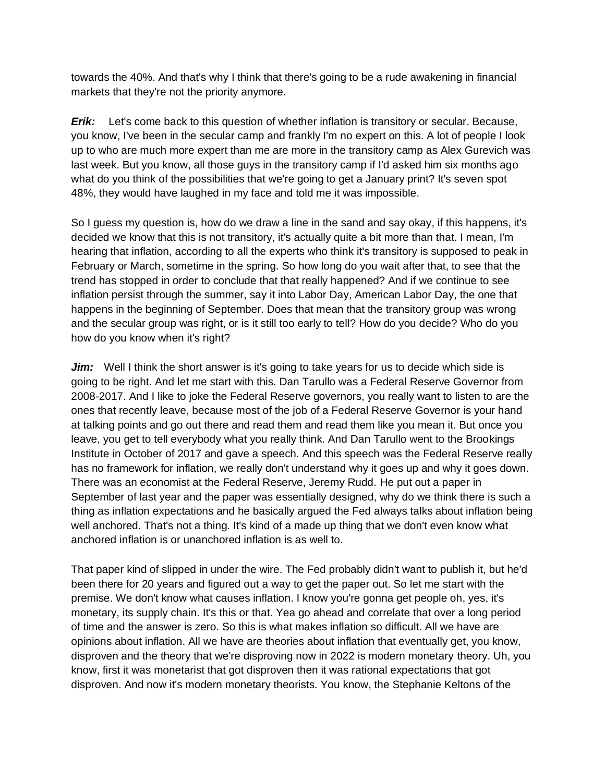towards the 40%. And that's why I think that there's going to be a rude awakening in financial markets that they're not the priority anymore.

*Erik:* Let's come back to this question of whether inflation is transitory or secular. Because, you know, I've been in the secular camp and frankly I'm no expert on this. A lot of people I look up to who are much more expert than me are more in the transitory camp as Alex Gurevich was last week. But you know, all those guys in the transitory camp if I'd asked him six months ago what do you think of the possibilities that we're going to get a January print? It's seven spot 48%, they would have laughed in my face and told me it was impossible.

So I guess my question is, how do we draw a line in the sand and say okay, if this happens, it's decided we know that this is not transitory, it's actually quite a bit more than that. I mean, I'm hearing that inflation, according to all the experts who think it's transitory is supposed to peak in February or March, sometime in the spring. So how long do you wait after that, to see that the trend has stopped in order to conclude that that really happened? And if we continue to see inflation persist through the summer, say it into Labor Day, American Labor Day, the one that happens in the beginning of September. Does that mean that the transitory group was wrong and the secular group was right, or is it still too early to tell? How do you decide? Who do you how do you know when it's right?

*Jim:* Well I think the short answer is it's going to take years for us to decide which side is going to be right. And let me start with this. Dan Tarullo was a Federal Reserve Governor from 2008-2017. And I like to joke the Federal Reserve governors, you really want to listen to are the ones that recently leave, because most of the job of a Federal Reserve Governor is your hand at talking points and go out there and read them and read them like you mean it. But once you leave, you get to tell everybody what you really think. And Dan Tarullo went to the Brookings Institute in October of 2017 and gave a speech. And this speech was the Federal Reserve really has no framework for inflation, we really don't understand why it goes up and why it goes down. There was an economist at the Federal Reserve, Jeremy Rudd. He put out a paper in September of last year and the paper was essentially designed, why do we think there is such a thing as inflation expectations and he basically argued the Fed always talks about inflation being well anchored. That's not a thing. It's kind of a made up thing that we don't even know what anchored inflation is or unanchored inflation is as well to.

That paper kind of slipped in under the wire. The Fed probably didn't want to publish it, but he'd been there for 20 years and figured out a way to get the paper out. So let me start with the premise. We don't know what causes inflation. I know you're gonna get people oh, yes, it's monetary, its supply chain. It's this or that. Yea go ahead and correlate that over a long period of time and the answer is zero. So this is what makes inflation so difficult. All we have are opinions about inflation. All we have are theories about inflation that eventually get, you know, disproven and the theory that we're disproving now in 2022 is modern monetary theory. Uh, you know, first it was monetarist that got disproven then it was rational expectations that got disproven. And now it's modern monetary theorists. You know, the Stephanie Keltons of the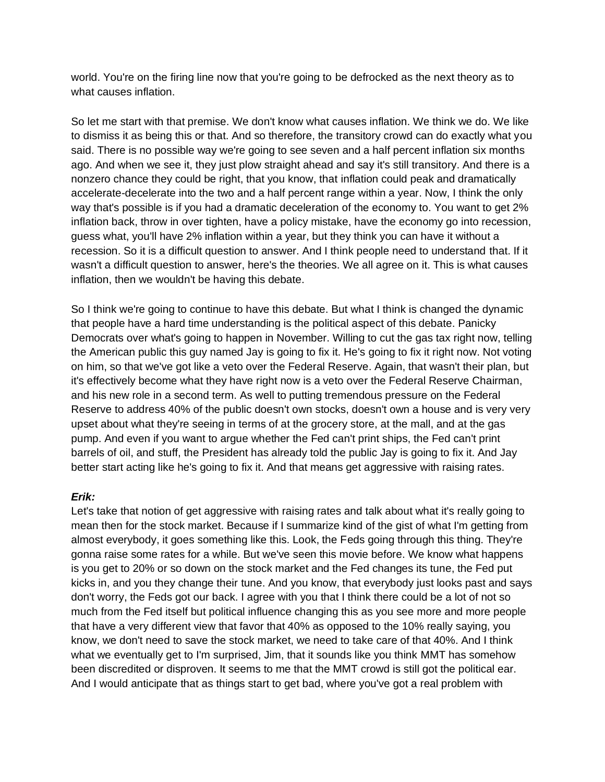world. You're on the firing line now that you're going to be defrocked as the next theory as to what causes inflation.

So let me start with that premise. We don't know what causes inflation. We think we do. We like to dismiss it as being this or that. And so therefore, the transitory crowd can do exactly what you said. There is no possible way we're going to see seven and a half percent inflation six months ago. And when we see it, they just plow straight ahead and say it's still transitory. And there is a nonzero chance they could be right, that you know, that inflation could peak and dramatically accelerate-decelerate into the two and a half percent range within a year. Now, I think the only way that's possible is if you had a dramatic deceleration of the economy to. You want to get 2% inflation back, throw in over tighten, have a policy mistake, have the economy go into recession, guess what, you'll have 2% inflation within a year, but they think you can have it without a recession. So it is a difficult question to answer. And I think people need to understand that. If it wasn't a difficult question to answer, here's the theories. We all agree on it. This is what causes inflation, then we wouldn't be having this debate.

So I think we're going to continue to have this debate. But what I think is changed the dynamic that people have a hard time understanding is the political aspect of this debate. Panicky Democrats over what's going to happen in November. Willing to cut the gas tax right now, telling the American public this guy named Jay is going to fix it. He's going to fix it right now. Not voting on him, so that we've got like a veto over the Federal Reserve. Again, that wasn't their plan, but it's effectively become what they have right now is a veto over the Federal Reserve Chairman, and his new role in a second term. As well to putting tremendous pressure on the Federal Reserve to address 40% of the public doesn't own stocks, doesn't own a house and is very very upset about what they're seeing in terms of at the grocery store, at the mall, and at the gas pump. And even if you want to argue whether the Fed can't print ships, the Fed can't print barrels of oil, and stuff, the President has already told the public Jay is going to fix it. And Jay better start acting like he's going to fix it. And that means get aggressive with raising rates.

## *Erik:*

Let's take that notion of get aggressive with raising rates and talk about what it's really going to mean then for the stock market. Because if I summarize kind of the gist of what I'm getting from almost everybody, it goes something like this. Look, the Feds going through this thing. They're gonna raise some rates for a while. But we've seen this movie before. We know what happens is you get to 20% or so down on the stock market and the Fed changes its tune, the Fed put kicks in, and you they change their tune. And you know, that everybody just looks past and says don't worry, the Feds got our back. I agree with you that I think there could be a lot of not so much from the Fed itself but political influence changing this as you see more and more people that have a very different view that favor that 40% as opposed to the 10% really saying, you know, we don't need to save the stock market, we need to take care of that 40%. And I think what we eventually get to I'm surprised, Jim, that it sounds like you think MMT has somehow been discredited or disproven. It seems to me that the MMT crowd is still got the political ear. And I would anticipate that as things start to get bad, where you've got a real problem with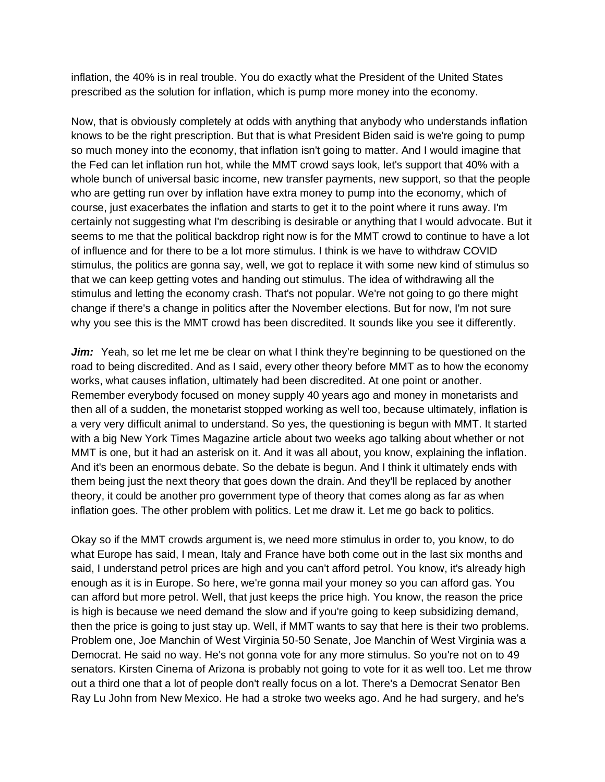inflation, the 40% is in real trouble. You do exactly what the President of the United States prescribed as the solution for inflation, which is pump more money into the economy.

Now, that is obviously completely at odds with anything that anybody who understands inflation knows to be the right prescription. But that is what President Biden said is we're going to pump so much money into the economy, that inflation isn't going to matter. And I would imagine that the Fed can let inflation run hot, while the MMT crowd says look, let's support that 40% with a whole bunch of universal basic income, new transfer payments, new support, so that the people who are getting run over by inflation have extra money to pump into the economy, which of course, just exacerbates the inflation and starts to get it to the point where it runs away. I'm certainly not suggesting what I'm describing is desirable or anything that I would advocate. But it seems to me that the political backdrop right now is for the MMT crowd to continue to have a lot of influence and for there to be a lot more stimulus. I think is we have to withdraw COVID stimulus, the politics are gonna say, well, we got to replace it with some new kind of stimulus so that we can keep getting votes and handing out stimulus. The idea of withdrawing all the stimulus and letting the economy crash. That's not popular. We're not going to go there might change if there's a change in politics after the November elections. But for now, I'm not sure why you see this is the MMT crowd has been discredited. It sounds like you see it differently.

*Jim:* Yeah, so let me let me be clear on what I think they're beginning to be questioned on the road to being discredited. And as I said, every other theory before MMT as to how the economy works, what causes inflation, ultimately had been discredited. At one point or another. Remember everybody focused on money supply 40 years ago and money in monetarists and then all of a sudden, the monetarist stopped working as well too, because ultimately, inflation is a very very difficult animal to understand. So yes, the questioning is begun with MMT. It started with a big New York Times Magazine article about two weeks ago talking about whether or not MMT is one, but it had an asterisk on it. And it was all about, you know, explaining the inflation. And it's been an enormous debate. So the debate is begun. And I think it ultimately ends with them being just the next theory that goes down the drain. And they'll be replaced by another theory, it could be another pro government type of theory that comes along as far as when inflation goes. The other problem with politics. Let me draw it. Let me go back to politics.

Okay so if the MMT crowds argument is, we need more stimulus in order to, you know, to do what Europe has said, I mean, Italy and France have both come out in the last six months and said, I understand petrol prices are high and you can't afford petrol. You know, it's already high enough as it is in Europe. So here, we're gonna mail your money so you can afford gas. You can afford but more petrol. Well, that just keeps the price high. You know, the reason the price is high is because we need demand the slow and if you're going to keep subsidizing demand, then the price is going to just stay up. Well, if MMT wants to say that here is their two problems. Problem one, Joe Manchin of West Virginia 50-50 Senate, Joe Manchin of West Virginia was a Democrat. He said no way. He's not gonna vote for any more stimulus. So you're not on to 49 senators. Kirsten Cinema of Arizona is probably not going to vote for it as well too. Let me throw out a third one that a lot of people don't really focus on a lot. There's a Democrat Senator Ben Ray Lu John from New Mexico. He had a stroke two weeks ago. And he had surgery, and he's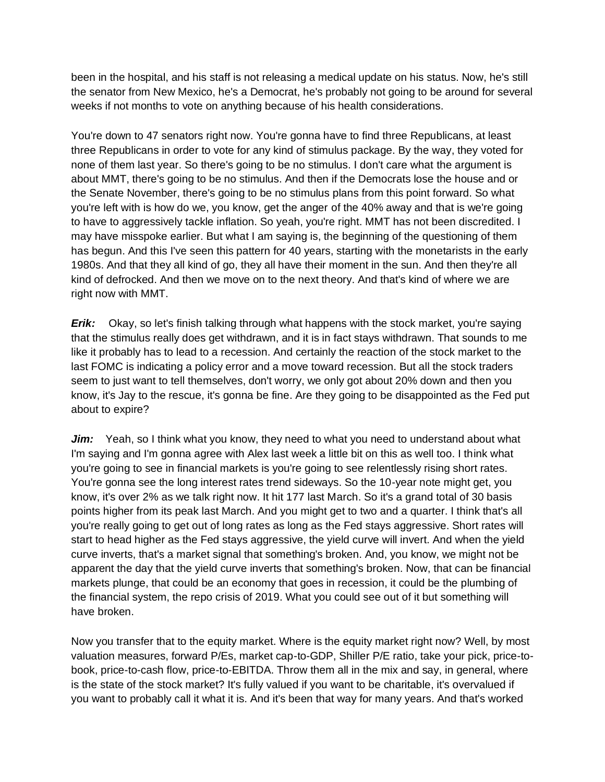been in the hospital, and his staff is not releasing a medical update on his status. Now, he's still the senator from New Mexico, he's a Democrat, he's probably not going to be around for several weeks if not months to vote on anything because of his health considerations.

You're down to 47 senators right now. You're gonna have to find three Republicans, at least three Republicans in order to vote for any kind of stimulus package. By the way, they voted for none of them last year. So there's going to be no stimulus. I don't care what the argument is about MMT, there's going to be no stimulus. And then if the Democrats lose the house and or the Senate November, there's going to be no stimulus plans from this point forward. So what you're left with is how do we, you know, get the anger of the 40% away and that is we're going to have to aggressively tackle inflation. So yeah, you're right. MMT has not been discredited. I may have misspoke earlier. But what I am saying is, the beginning of the questioning of them has begun. And this I've seen this pattern for 40 years, starting with the monetarists in the early 1980s. And that they all kind of go, they all have their moment in the sun. And then they're all kind of defrocked. And then we move on to the next theory. And that's kind of where we are right now with MMT.

*Erik:* Okay, so let's finish talking through what happens with the stock market, you're saying that the stimulus really does get withdrawn, and it is in fact stays withdrawn. That sounds to me like it probably has to lead to a recession. And certainly the reaction of the stock market to the last FOMC is indicating a policy error and a move toward recession. But all the stock traders seem to just want to tell themselves, don't worry, we only got about 20% down and then you know, it's Jay to the rescue, it's gonna be fine. Are they going to be disappointed as the Fed put about to expire?

Jim: Yeah, so I think what you know, they need to what you need to understand about what I'm saying and I'm gonna agree with Alex last week a little bit on this as well too. I think what you're going to see in financial markets is you're going to see relentlessly rising short rates. You're gonna see the long interest rates trend sideways. So the 10-year note might get, you know, it's over 2% as we talk right now. It hit 177 last March. So it's a grand total of 30 basis points higher from its peak last March. And you might get to two and a quarter. I think that's all you're really going to get out of long rates as long as the Fed stays aggressive. Short rates will start to head higher as the Fed stays aggressive, the yield curve will invert. And when the yield curve inverts, that's a market signal that something's broken. And, you know, we might not be apparent the day that the yield curve inverts that something's broken. Now, that can be financial markets plunge, that could be an economy that goes in recession, it could be the plumbing of the financial system, the repo crisis of 2019. What you could see out of it but something will have broken.

Now you transfer that to the equity market. Where is the equity market right now? Well, by most valuation measures, forward P/Es, market cap-to-GDP, Shiller P/E ratio, take your pick, price-tobook, price-to-cash flow, price-to-EBITDA. Throw them all in the mix and say, in general, where is the state of the stock market? It's fully valued if you want to be charitable, it's overvalued if you want to probably call it what it is. And it's been that way for many years. And that's worked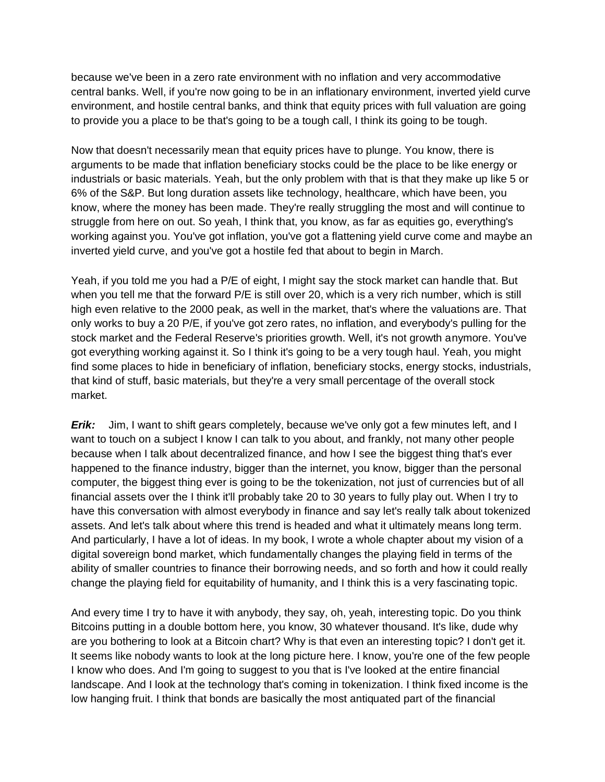because we've been in a zero rate environment with no inflation and very accommodative central banks. Well, if you're now going to be in an inflationary environment, inverted yield curve environment, and hostile central banks, and think that equity prices with full valuation are going to provide you a place to be that's going to be a tough call, I think its going to be tough.

Now that doesn't necessarily mean that equity prices have to plunge. You know, there is arguments to be made that inflation beneficiary stocks could be the place to be like energy or industrials or basic materials. Yeah, but the only problem with that is that they make up like 5 or 6% of the S&P. But long duration assets like technology, healthcare, which have been, you know, where the money has been made. They're really struggling the most and will continue to struggle from here on out. So yeah, I think that, you know, as far as equities go, everything's working against you. You've got inflation, you've got a flattening yield curve come and maybe an inverted yield curve, and you've got a hostile fed that about to begin in March.

Yeah, if you told me you had a P/E of eight, I might say the stock market can handle that. But when you tell me that the forward P/E is still over 20, which is a very rich number, which is still high even relative to the 2000 peak, as well in the market, that's where the valuations are. That only works to buy a 20 P/E, if you've got zero rates, no inflation, and everybody's pulling for the stock market and the Federal Reserve's priorities growth. Well, it's not growth anymore. You've got everything working against it. So I think it's going to be a very tough haul. Yeah, you might find some places to hide in beneficiary of inflation, beneficiary stocks, energy stocks, industrials, that kind of stuff, basic materials, but they're a very small percentage of the overall stock market.

*Erik:* Jim, I want to shift gears completely, because we've only got a few minutes left, and I want to touch on a subject I know I can talk to you about, and frankly, not many other people because when I talk about decentralized finance, and how I see the biggest thing that's ever happened to the finance industry, bigger than the internet, you know, bigger than the personal computer, the biggest thing ever is going to be the tokenization, not just of currencies but of all financial assets over the I think it'll probably take 20 to 30 years to fully play out. When I try to have this conversation with almost everybody in finance and say let's really talk about tokenized assets. And let's talk about where this trend is headed and what it ultimately means long term. And particularly, I have a lot of ideas. In my book, I wrote a whole chapter about my vision of a digital sovereign bond market, which fundamentally changes the playing field in terms of the ability of smaller countries to finance their borrowing needs, and so forth and how it could really change the playing field for equitability of humanity, and I think this is a very fascinating topic.

And every time I try to have it with anybody, they say, oh, yeah, interesting topic. Do you think Bitcoins putting in a double bottom here, you know, 30 whatever thousand. It's like, dude why are you bothering to look at a Bitcoin chart? Why is that even an interesting topic? I don't get it. It seems like nobody wants to look at the long picture here. I know, you're one of the few people I know who does. And I'm going to suggest to you that is I've looked at the entire financial landscape. And I look at the technology that's coming in tokenization. I think fixed income is the low hanging fruit. I think that bonds are basically the most antiquated part of the financial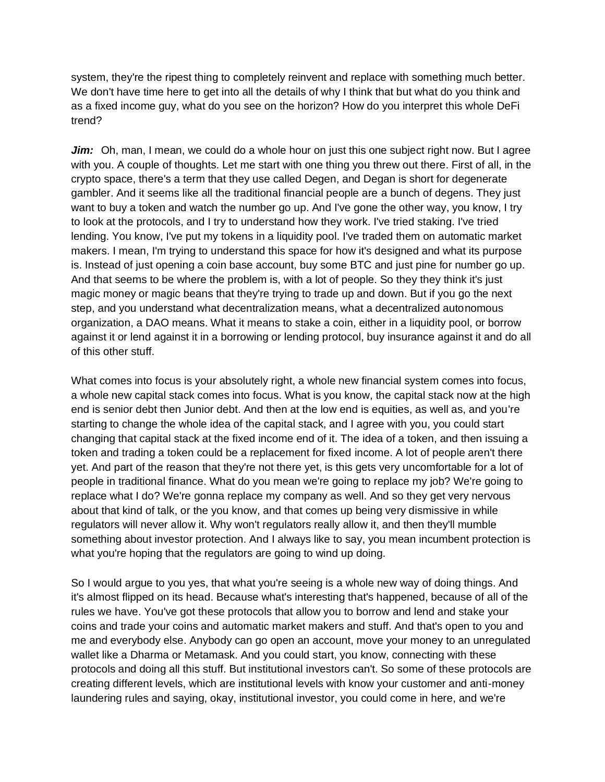system, they're the ripest thing to completely reinvent and replace with something much better. We don't have time here to get into all the details of why I think that but what do you think and as a fixed income guy, what do you see on the horizon? How do you interpret this whole DeFi trend?

*Jim:* Oh, man, I mean, we could do a whole hour on just this one subject right now. But I agree with you. A couple of thoughts. Let me start with one thing you threw out there. First of all, in the crypto space, there's a term that they use called Degen, and Degan is short for degenerate gambler. And it seems like all the traditional financial people are a bunch of degens. They just want to buy a token and watch the number go up. And I've gone the other way, you know, I try to look at the protocols, and I try to understand how they work. I've tried staking. I've tried lending. You know, I've put my tokens in a liquidity pool. I've traded them on automatic market makers. I mean, I'm trying to understand this space for how it's designed and what its purpose is. Instead of just opening a coin base account, buy some BTC and just pine for number go up. And that seems to be where the problem is, with a lot of people. So they they think it's just magic money or magic beans that they're trying to trade up and down. But if you go the next step, and you understand what decentralization means, what a decentralized autonomous organization, a DAO means. What it means to stake a coin, either in a liquidity pool, or borrow against it or lend against it in a borrowing or lending protocol, buy insurance against it and do all of this other stuff.

What comes into focus is your absolutely right, a whole new financial system comes into focus, a whole new capital stack comes into focus. What is you know, the capital stack now at the high end is senior debt then Junior debt. And then at the low end is equities, as well as, and you're starting to change the whole idea of the capital stack, and I agree with you, you could start changing that capital stack at the fixed income end of it. The idea of a token, and then issuing a token and trading a token could be a replacement for fixed income. A lot of people aren't there yet. And part of the reason that they're not there yet, is this gets very uncomfortable for a lot of people in traditional finance. What do you mean we're going to replace my job? We're going to replace what I do? We're gonna replace my company as well. And so they get very nervous about that kind of talk, or the you know, and that comes up being very dismissive in while regulators will never allow it. Why won't regulators really allow it, and then they'll mumble something about investor protection. And I always like to say, you mean incumbent protection is what you're hoping that the regulators are going to wind up doing.

So I would argue to you yes, that what you're seeing is a whole new way of doing things. And it's almost flipped on its head. Because what's interesting that's happened, because of all of the rules we have. You've got these protocols that allow you to borrow and lend and stake your coins and trade your coins and automatic market makers and stuff. And that's open to you and me and everybody else. Anybody can go open an account, move your money to an unregulated wallet like a Dharma or Metamask. And you could start, you know, connecting with these protocols and doing all this stuff. But institutional investors can't. So some of these protocols are creating different levels, which are institutional levels with know your customer and anti-money laundering rules and saying, okay, institutional investor, you could come in here, and we're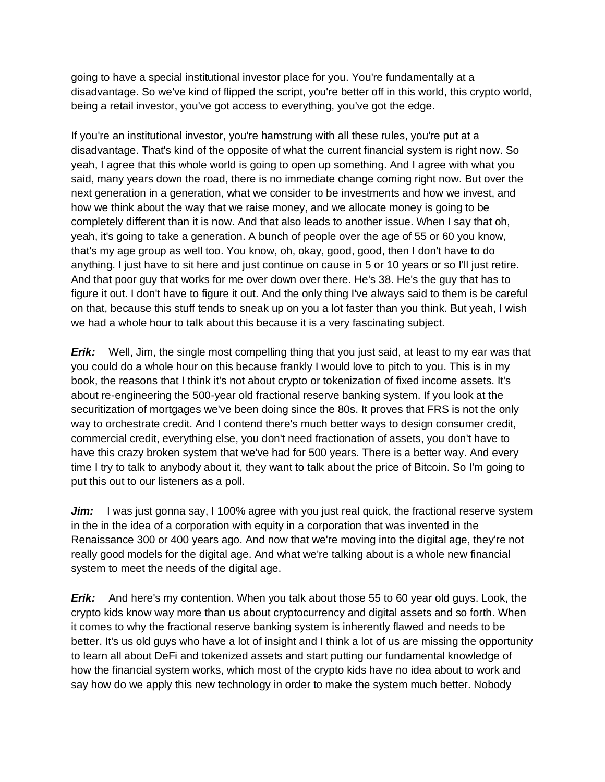going to have a special institutional investor place for you. You're fundamentally at a disadvantage. So we've kind of flipped the script, you're better off in this world, this crypto world, being a retail investor, you've got access to everything, you've got the edge.

If you're an institutional investor, you're hamstrung with all these rules, you're put at a disadvantage. That's kind of the opposite of what the current financial system is right now. So yeah, I agree that this whole world is going to open up something. And I agree with what you said, many years down the road, there is no immediate change coming right now. But over the next generation in a generation, what we consider to be investments and how we invest, and how we think about the way that we raise money, and we allocate money is going to be completely different than it is now. And that also leads to another issue. When I say that oh, yeah, it's going to take a generation. A bunch of people over the age of 55 or 60 you know, that's my age group as well too. You know, oh, okay, good, good, then I don't have to do anything. I just have to sit here and just continue on cause in 5 or 10 years or so I'll just retire. And that poor guy that works for me over down over there. He's 38. He's the guy that has to figure it out. I don't have to figure it out. And the only thing I've always said to them is be careful on that, because this stuff tends to sneak up on you a lot faster than you think. But yeah, I wish we had a whole hour to talk about this because it is a very fascinating subject.

*Erik:* Well, Jim, the single most compelling thing that you just said, at least to my ear was that you could do a whole hour on this because frankly I would love to pitch to you. This is in my book, the reasons that I think it's not about crypto or tokenization of fixed income assets. It's about re-engineering the 500-year old fractional reserve banking system. If you look at the securitization of mortgages we've been doing since the 80s. It proves that FRS is not the only way to orchestrate credit. And I contend there's much better ways to design consumer credit, commercial credit, everything else, you don't need fractionation of assets, you don't have to have this crazy broken system that we've had for 500 years. There is a better way. And every time I try to talk to anybody about it, they want to talk about the price of Bitcoin. So I'm going to put this out to our listeners as a poll.

*Jim:* I was just gonna say, I 100% agree with you just real quick, the fractional reserve system in the in the idea of a corporation with equity in a corporation that was invented in the Renaissance 300 or 400 years ago. And now that we're moving into the digital age, they're not really good models for the digital age. And what we're talking about is a whole new financial system to meet the needs of the digital age.

*Erik:* And here's my contention. When you talk about those 55 to 60 year old guys. Look, the crypto kids know way more than us about cryptocurrency and digital assets and so forth. When it comes to why the fractional reserve banking system is inherently flawed and needs to be better. It's us old guys who have a lot of insight and I think a lot of us are missing the opportunity to learn all about DeFi and tokenized assets and start putting our fundamental knowledge of how the financial system works, which most of the crypto kids have no idea about to work and say how do we apply this new technology in order to make the system much better. Nobody